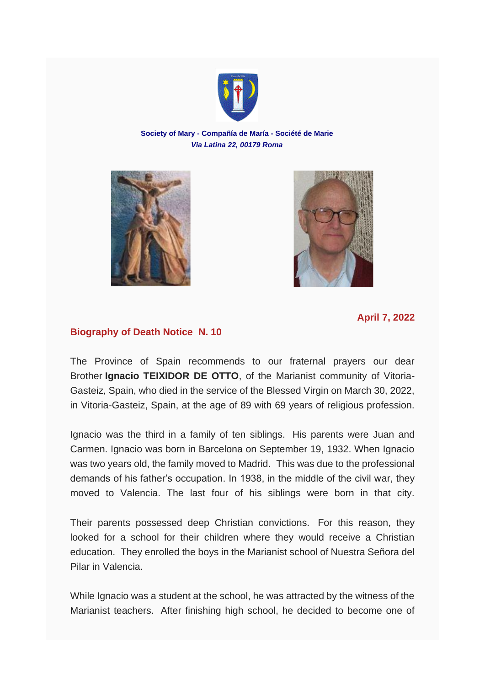

## **Society of Mary - Compañía de María - Société de Marie** *Via Latina 22, 00179 Roma*





## **Biography of Death Notice N. 10**

The Province of Spain recommends to our fraternal prayers our dear Brother **Ignacio TEIXIDOR DE OTTO**, of the Marianist community of Vitoria-Gasteiz, Spain, who died in the service of the Blessed Virgin on March 30, 2022, in Vitoria-Gasteiz, Spain, at the age of 89 with 69 years of religious profession.

Ignacio was the third in a family of ten siblings. His parents were Juan and Carmen. Ignacio was born in Barcelona on September 19, 1932. When Ignacio was two years old, the family moved to Madrid. This was due to the professional demands of his father's occupation. In 1938, in the middle of the civil war, they moved to Valencia. The last four of his siblings were born in that city.

Their parents possessed deep Christian convictions. For this reason, they looked for a school for their children where they would receive a Christian education. They enrolled the boys in the Marianist school of Nuestra Señora del Pilar in Valencia.

While Ignacio was a student at the school, he was attracted by the witness of the Marianist teachers. After finishing high school, he decided to become one of

**April 7, 2022**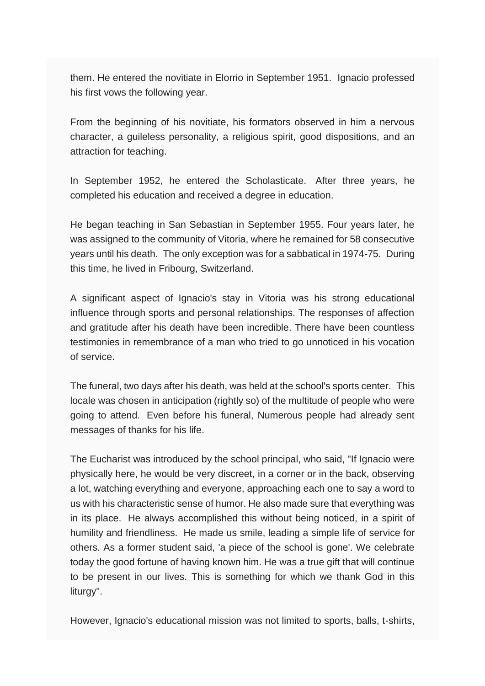them. He entered the novitiate in Elorrio in September 1951. Ignacio professed his first vows the following year.

From the beginning of his novitiate, his formators observed in him a nervous character, a guileless personality, a religious spirit, good dispositions, and an attraction for teaching.

In September 1952, he entered the Scholasticate. After three years, he completed his education and received a degree in education.

He began teaching in San Sebastian in September 1955. Four years later, he was assigned to the community of Vitoria, where he remained for 58 consecutive years until his death. The only exception was for a sabbatical in 1974-75. During this time, he lived in Fribourg, Switzerland.

A significant aspect of Ignacio's stay in Vitoria was his strong educational influence through sports and personal relationships. The responses of affection and gratitude after his death have been incredible. There have been countless testimonies in remembrance of a man who tried to go unnoticed in his vocation of service.

The funeral, two days after his death, was held at the school's sports center. This locale was chosen in anticipation (rightly so) of the multitude of people who were going to attend. Even before his funeral, Numerous people had already sent messages of thanks for his life.

The Eucharist was introduced by the school principal, who said, "If Ignacio were physically here, he would be very discreet, in a corner or in the back, observing a lot, watching everything and everyone, approaching each one to say a word to us with his characteristic sense of humor. He also made sure that everything was in its place. He always accomplished this without being noticed, in a spirit of humility and friendliness. He made us smile, leading a simple life of service for others. As a former student said, 'a piece of the school is gone'. We celebrate today the good fortune of having known him. He was a true gift that will continue to be present in our lives. This is something for which we thank God in this liturgy".

However, Ignacio's educational mission was not limited to sports, balls, t-shirts,